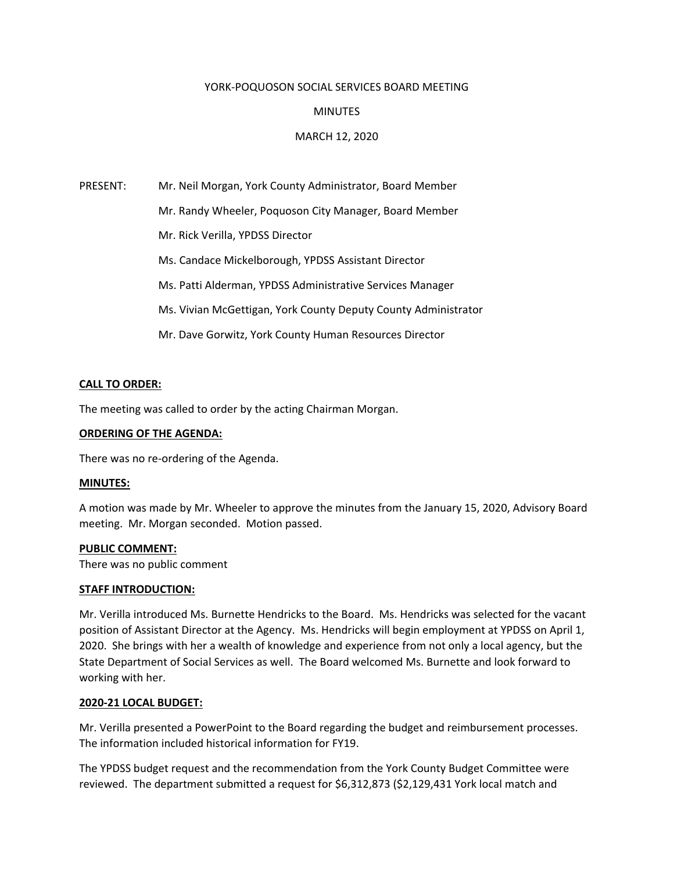#### YORK‐POQUOSON SOCIAL SERVICES BOARD MEETING

#### **MINUTES**

#### MARCH 12, 2020

PRESENT: Mr. Neil Morgan, York County Administrator, Board Member Mr. Randy Wheeler, Poquoson City Manager, Board Member Mr. Rick Verilla, YPDSS Director Ms. Candace Mickelborough, YPDSS Assistant Director Ms. Patti Alderman, YPDSS Administrative Services Manager Ms. Vivian McGettigan, York County Deputy County Administrator Mr. Dave Gorwitz, York County Human Resources Director

#### **CALL TO ORDER:**

The meeting was called to order by the acting Chairman Morgan.

#### **ORDERING OF THE AGENDA:**

There was no re‐ordering of the Agenda.

#### **MINUTES:**

A motion was made by Mr. Wheeler to approve the minutes from the January 15, 2020, Advisory Board meeting. Mr. Morgan seconded. Motion passed.

#### **PUBLIC COMMENT:**

There was no public comment

#### **STAFF INTRODUCTION:**

Mr. Verilla introduced Ms. Burnette Hendricks to the Board. Ms. Hendricks was selected for the vacant position of Assistant Director at the Agency. Ms. Hendricks will begin employment at YPDSS on April 1, 2020. She brings with her a wealth of knowledge and experience from not only a local agency, but the State Department of Social Services as well. The Board welcomed Ms. Burnette and look forward to working with her.

#### **2020‐21 LOCAL BUDGET:**

Mr. Verilla presented a PowerPoint to the Board regarding the budget and reimbursement processes. The information included historical information for FY19.

The YPDSS budget request and the recommendation from the York County Budget Committee were reviewed. The department submitted a request for \$6,312,873 (\$2,129,431 York local match and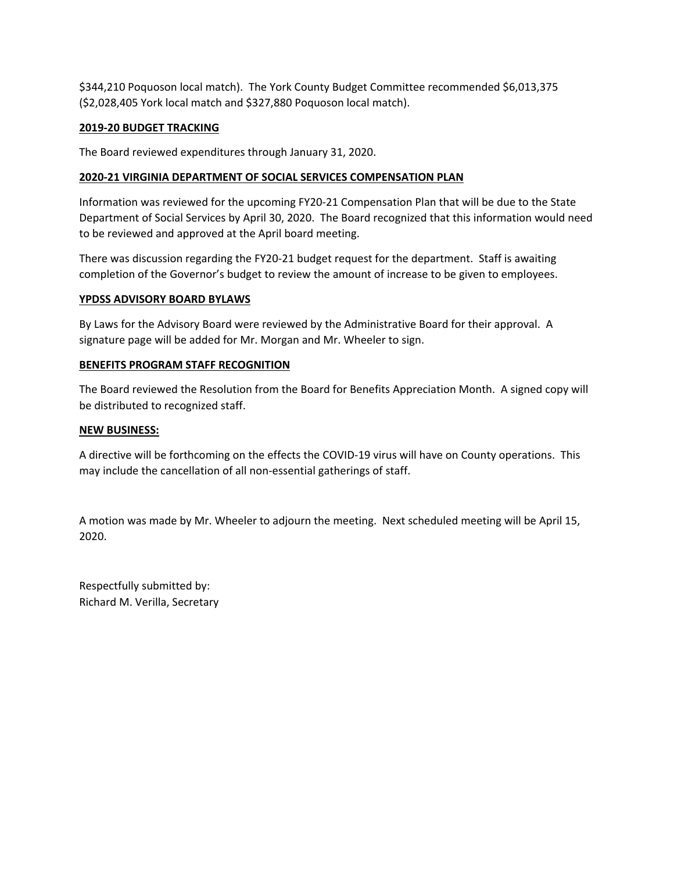\$344,210 Poquoson local match). The York County Budget Committee recommended \$6,013,375 (\$2,028,405 York local match and \$327,880 Poquoson local match).

### **2019‐20 BUDGET TRACKING**

The Board reviewed expenditures through January 31, 2020.

### **2020‐21 VIRGINIA DEPARTMENT OF SOCIAL SERVICES COMPENSATION PLAN**

Information was reviewed for the upcoming FY20‐21 Compensation Plan that will be due to the State Department of Social Services by April 30, 2020. The Board recognized that this information would need to be reviewed and approved at the April board meeting.

There was discussion regarding the FY20‐21 budget request for the department. Staff is awaiting completion of the Governor's budget to review the amount of increase to be given to employees.

#### **YPDSS ADVISORY BOARD BYLAWS**

By Laws for the Advisory Board were reviewed by the Administrative Board for their approval. A signature page will be added for Mr. Morgan and Mr. Wheeler to sign.

#### **BENEFITS PROGRAM STAFF RECOGNITION**

The Board reviewed the Resolution from the Board for Benefits Appreciation Month. A signed copy will be distributed to recognized staff.

#### **NEW BUSINESS:**

A directive will be forthcoming on the effects the COVID‐19 virus will have on County operations. This may include the cancellation of all non-essential gatherings of staff.

A motion was made by Mr. Wheeler to adjourn the meeting. Next scheduled meeting will be April 15, 2020.

Respectfully submitted by: Richard M. Verilla, Secretary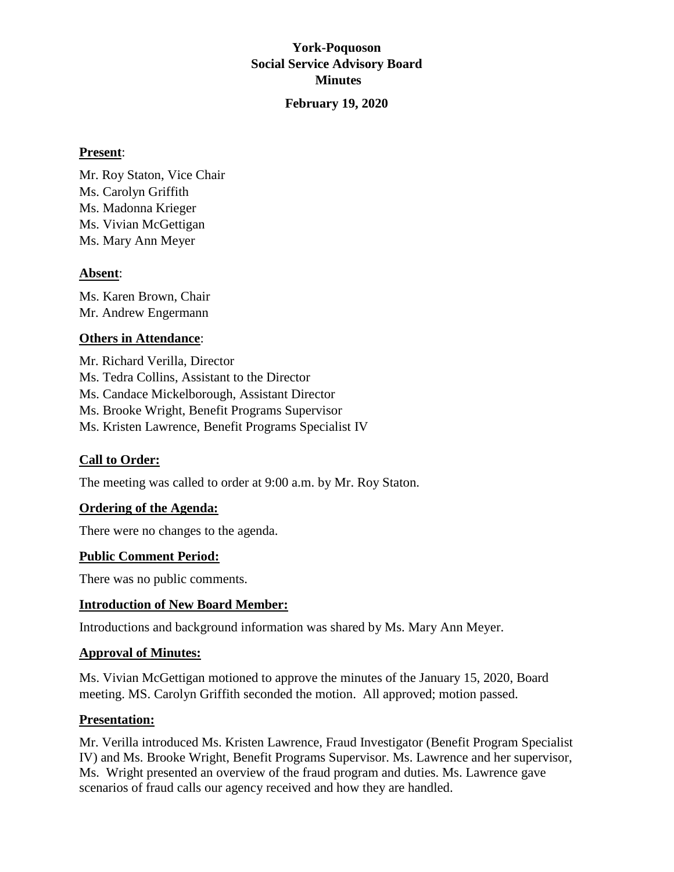# **York-Poquoson Social Service Advisory Board Minutes February 19, 2020**

# **Present**:

Mr. Roy Staton, Vice Chair Ms. Carolyn Griffith Ms. Madonna Krieger Ms. Vivian McGettigan Ms. Mary Ann Meyer

# **Absent**:

Ms. Karen Brown, Chair Mr. Andrew Engermann

# **Others in Attendance**:

Mr. Richard Verilla, Director Ms. Tedra Collins, Assistant to the Director Ms. Candace Mickelborough, Assistant Director Ms. Brooke Wright, Benefit Programs Supervisor Ms. Kristen Lawrence, Benefit Programs Specialist IV

# **Call to Order:**

The meeting was called to order at 9:00 a.m. by Mr. Roy Staton.

# **Ordering of the Agenda:**

There were no changes to the agenda.

# **Public Comment Period:**

There was no public comments.

# **Introduction of New Board Member:**

Introductions and background information was shared by Ms. Mary Ann Meyer.

# **Approval of Minutes:**

Ms. Vivian McGettigan motioned to approve the minutes of the January 15, 2020, Board meeting. MS. Carolyn Griffith seconded the motion. All approved; motion passed.

# **Presentation:**

Mr. Verilla introduced Ms. Kristen Lawrence, Fraud Investigator (Benefit Program Specialist IV) and Ms. Brooke Wright, Benefit Programs Supervisor. Ms. Lawrence and her supervisor, Ms. Wright presented an overview of the fraud program and duties. Ms. Lawrence gave scenarios of fraud calls our agency received and how they are handled.